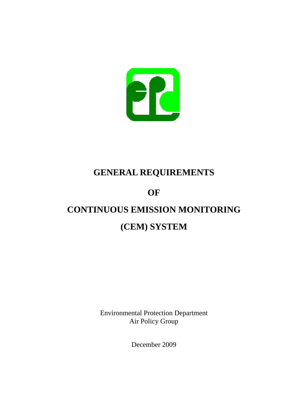

# **GENERAL REQUIREMENTS**

# **OF**

# **CONTINUOUS EMISSION MONITORING**

# **(CEM) SYSTEM**

Environmental Protection Department Air Policy Group

December 2009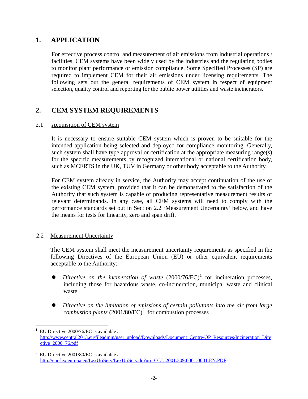## **1. APPLICATION**

For effective process control and measurement of air emissions from industrial operations / facilities, CEM systems have been widely used by the industries and the regulating bodies to monitor plant performance or emission compliance. Some Specified Processes (SP) are required to implement CEM for their air emissions under licensing requirements. The following sets out the general requirements of CEM system in respect of equipment selection, quality control and reporting for the public power utilities and waste incinerators.

## **2. CEM SYSTEM REQUIREMENTS**

#### 2.1 Acquisition of CEM system

It is necessary to ensure suitable CEM system which is proven to be suitable for the intended application being selected and deployed for compliance monitoring. Generally, such system shall have type approval or certification at the appropriate measuring range(s) for the specific measurements by recognized international or national certification body, such as MCERTS in the UK, TUV in Germany or other body acceptable to the Authority.

For CEM system already in service, the Authority may accept continuation of the use of the existing CEM system, provided that it can be demonstrated to the satisfaction of the Authority that such system is capable of producing representative measurement results of relevant determinands. In any case, all CEM systems will need to comply with the performance standards set out in Section 2.2 'Measurement Uncertainty' below, and have the means for tests for linearity, zero and span drift.

#### 2.2 Measurement Uncertainty

 $\overline{a}$ 

The CEM system shall meet the measurement uncertainty requirements as specified in the following Directives of the European Union (EU) or other equivalent requirements acceptable to the Authority:

- *Directive on the incineration of waste*  $(2000/76/EC)^1$  for incineration processes, including those for hazardous waste, co-incineration, municipal waste and clinical waste
- z *Directive on the limitation of emissions of certain pollutants into the air from large combustion plants*  $(2001/80/EC)^2$  for combustion processes

EU Directive 2000/76/EC is available at http://www.central2013.eu/fileadmin/user\_upload/Downloads/Document\_Centre/OP\_Resources/Incineration\_Dire ctive\_2000\_76.pdf

 $2$  EU Directive 2001/80/EC is available at http://eur-lex.europa.eu/LexUriServ/LexUriServ.do?uri=OJ:L:2001:309:0001:0001:EN:PDF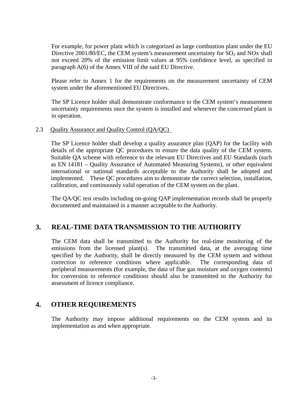For example, for power plant which is categorized as large combustion plant under the EU Directive 2001/80/EC, the CEM system's measurement uncertainty for  $SO_2$  and NOx shall not exceed 20% of the emission limit values at 95% confidence level, as specified in paragraph A(6) of the Annex VIII of the said EU Directive.

Please refer to Annex 1 for the requirements on the measurement uncertainty of CEM system under the aforementioned EU Directives.

The SP Licence holder shall demonstrate conformance to the CEM system's measurement uncertainty requirements once the system is installed and whenever the concerned plant is in operation.

#### 2.3 Quality Assurance and Quality Control (QA/QC)

The SP Licence holder shall develop a quality assurance plan (QAP) for the facility with details of the appropriate QC procedures to ensure the data quality of the CEM system. Suitable QA scheme with reference to the relevant EU Directives and EU Standards (such as EN 14181 – Quality Assurance of Automated Measuring Systems), or other equivalent international or national standards acceptable to the Authority shall be adopted and implemented. These QC procedures aim to demonstrate the correct selection, installation, calibration, and continuously valid operation of the CEM system on the plant.

The QA/QC test results including on-going QAP implementation records shall be properly documented and maintained in a manner acceptable to the Authority.

### **3. REAL-TIME DATA TRANSMISSION TO THE AUTHORITY**

The CEM data shall be transmitted to the Authority for real-time monitoring of the emissions from the licensed plant(s). The transmitted data, at the averaging time specified by the Authority, shall be directly measured by the CEM system and without correction to reference conditions where applicable. The corresponding data of peripheral measurements (for example, the data of flue gas moisture and oxygen contents) for conversion to reference conditions should also be transmitted to the Authority for assessment of licence compliance.

### **4. OTHER REQUIREMENTS**

The Authority may impose additional requirements on the CEM system and its implementation as and when appropriate.